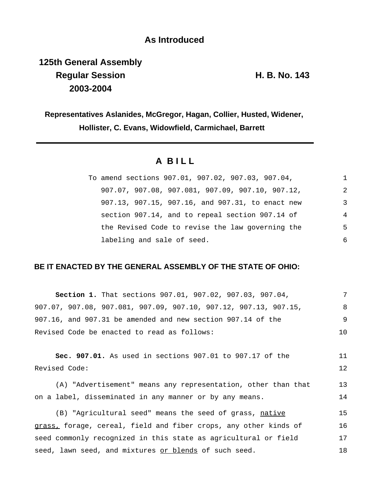## **As Introduced**

**125th General Assembly Regular Session H. B. No. 143 2003-2004**

**Representatives Aslanides, McGregor, Hagan, Collier, Husted, Widener, Hollister, C. Evans, Widowfield, Carmichael, Barrett**

## **A B I L L**

| To amend sections 907.01, 907.02, 907.03, 907.04, | 1              |
|---------------------------------------------------|----------------|
| 907.07, 907.08, 907.081, 907.09, 907.10, 907.12,  | 2              |
| 907.13, 907.15, 907.16, and 907.31, to enact new  | 3              |
| section 907.14, and to repeal section 907.14 of   | $\overline{4}$ |
| the Revised Code to revise the law governing the  | 5              |
| labeling and sale of seed.                        | 6              |

### **BE IT ENACTED BY THE GENERAL ASSEMBLY OF THE STATE OF OHIO:**

| <b>Section 1.</b> That sections 907.01, 907.02, 907.03, 907.04,  | 7  |
|------------------------------------------------------------------|----|
| 907.07, 907.08, 907.081, 907.09, 907.10, 907.12, 907.13, 907.15, | 8  |
| 907.16, and 907.31 be amended and new section 907.14 of the      | 9  |
| Revised Code be enacted to read as follows:                      | 10 |
|                                                                  |    |
| <b>Sec. 907.01.</b> As used in sections 907.01 to 907.17 of the  | 11 |
| Revised Code:                                                    | 12 |
| (A) "Advertisement" means any representation, other than that    | 13 |
| on a label, disseminated in any manner or by any means.          | 14 |
| (B) "Agricultural seed" means the seed of grass, native          | 15 |
| grass, forage, cereal, field and fiber crops, any other kinds of | 16 |
| seed commonly recognized in this state as agricultural or field  | 17 |
| seed, lawn seed, and mixtures or blends of such seed.            | 18 |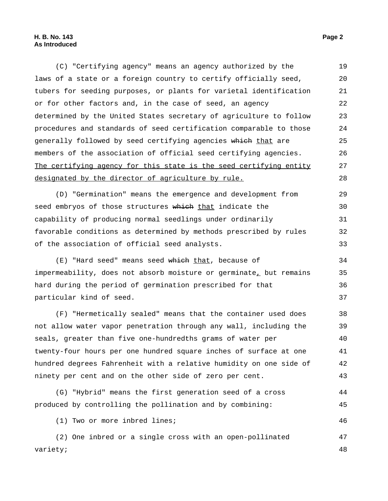#### **H. B. No. 143 Page 2 As Introduced**

(C) "Certifying agency" means an agency authorized by the laws of a state or a foreign country to certify officially seed, tubers for seeding purposes, or plants for varietal identification or for other factors and, in the case of seed, an agency determined by the United States secretary of agriculture to follow procedures and standards of seed certification comparable to those generally followed by seed certifying agencies which that are members of the association of official seed certifying agencies. The certifying agency for this state is the seed certifying entity designated by the director of agriculture by rule. 19 20 21 22 23 24 25 26 27 28

(D) "Germination" means the emergence and development from seed embryos of those structures which that indicate the capability of producing normal seedlings under ordinarily favorable conditions as determined by methods prescribed by rules of the association of official seed analysts. 29 30 31 32 33

(E) "Hard seed" means seed which that, because of impermeability, does not absorb moisture or germinate, but remains hard during the period of germination prescribed for that particular kind of seed. 34 35 36 37

(F) "Hermetically sealed" means that the container used does not allow water vapor penetration through any wall, including the seals, greater than five one-hundredths grams of water per twenty-four hours per one hundred square inches of surface at one hundred degrees Fahrenheit with a relative humidity on one side of ninety per cent and on the other side of zero per cent. 38 39 40 41 42 43

(G) "Hybrid" means the first generation seed of a cross produced by controlling the pollination and by combining: 44 45

(1) Two or more inbred lines; 46

(2) One inbred or a single cross with an open-pollinated variety; 47 48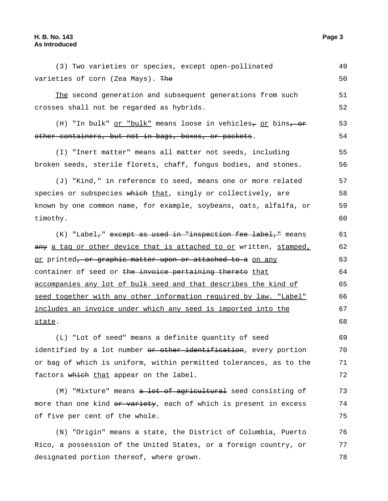#### **H. B. No. 143 Page 3 As Introduced**

| (3) Two varieties or species, except open-pollinated                                 | 49 |
|--------------------------------------------------------------------------------------|----|
| varieties of corn (Zea Mays). The                                                    | 50 |
| The second generation and subsequent generations from such                           | 51 |
| crosses shall not be regarded as hybrids.                                            | 52 |
|                                                                                      |    |
| (H) "In bulk" or "bulk" means loose in vehicles <sub>7</sub> or bins <del>, or</del> | 53 |
| other containers, but not in bags, boxes, or packets.                                | 54 |
| (I) "Inert matter" means all matter not seeds, including                             | 55 |
| broken seeds, sterile florets, chaff, fungus bodies, and stones.                     | 56 |
| (J) "Kind," in reference to seed, means one or more related                          | 57 |
| species or subspecies which that, singly or collectively, are                        | 58 |
| known by one common name, for example, soybeans, oats, alfalfa, or                   | 59 |
| timothy.                                                                             | 60 |
| $(K)$ "Label <sub>7</sub> " except as used in "inspection fee label," means          | 61 |
| any a tag or other device that is attached to or written, stamped,                   | 62 |
| or printed <del>, or graphic matter upon or attached to a</del> on any               | 63 |
| container of seed or the invoice pertaining thereto that                             | 64 |
| accompanies any lot of bulk seed and that describes the kind of                      | 65 |
| seed together with any other information required by law. "Label"                    | 66 |
| includes an invoice under which any seed is imported into the                        | 67 |
| <u>state</u> .                                                                       | 68 |
| (L) "Lot of seed" means a definite quantity of seed                                  | 69 |
| identified by a lot number or other identification, every portion                    | 70 |
| or bag of which is uniform, within permitted tolerances, as to the                   | 71 |
| factors which that appear on the label.                                              | 72 |

(M) "Mixture" means a lot of agricultural seed consisting of more than one kind or variety, each of which is present in excess of five per cent of the whole. 73 74 75

(N) "Origin" means a state, the District of Columbia, Puerto Rico, a possession of the United States, or a foreign country, or designated portion thereof, where grown. 76 77 78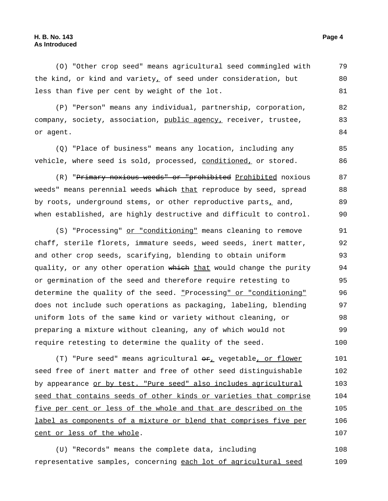#### **H. B. No. 143 Page 4 As Introduced**

(O) "Other crop seed" means agricultural seed commingled with the kind, or kind and variety<sub>1</sub> of seed under consideration, but less than five per cent by weight of the lot. 79 80 81

(P) "Person" means any individual, partnership, corporation, company, society, association, public agency, receiver, trustee, or agent. 82 83 84

(Q) "Place of business" means any location, including any vehicle, where seed is sold, processed, conditioned, or stored.

(R) "Primary noxious weeds" or "prohibited Prohibited noxious weeds" means perennial weeds which that reproduce by seed, spread by roots, underground stems, or other reproductive parts $<sub>L</sub>$  and,</sub> when established, are highly destructive and difficult to control. 87 88 89 90

(S) "Processing" or "conditioning" means cleaning to remove chaff, sterile florets, immature seeds, weed seeds, inert matter, and other crop seeds, scarifying, blending to obtain uniform quality, or any other operation which that would change the purity or germination of the seed and therefore require retesting to determine the quality of the seed. "Processing" or "conditioning" does not include such operations as packaging, labeling, blending uniform lots of the same kind or variety without cleaning, or preparing a mixture without cleaning, any of which would not require retesting to determine the quality of the seed. 91 92 93 94 95 96 97 98 99 100

(T) "Pure seed" means agricultural  $er_t$ , vegetable, or flower seed free of inert matter and free of other seed distinguishable by appearance or by test. "Pure seed" also includes agricultural seed that contains seeds of other kinds or varieties that comprise five per cent or less of the whole and that are described on the label as components of a mixture or blend that comprises five per cent or less of the whole. 101 102 103 104 105 106 107

(U) "Records" means the complete data, including representative samples, concerning each lot of agricultural seed 108 109

85

86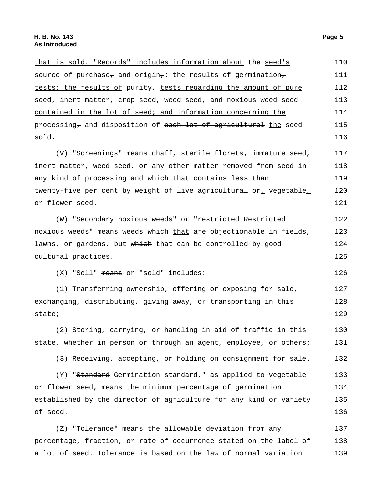sold.

that is sold. "Records" includes information about the seed's source of purchase<sub>7</sub> and origin<sub>7</sub>; the results of germination<sub>7</sub> tests; the results of purity, tests regarding the amount of pure seed, inert matter, crop seed, weed seed, and noxious weed seed contained in the lot of seed; and information concerning the processing<sub>7</sub> and disposition of each lot of agricultural the seed

(V) "Screenings" means chaff, sterile florets, immature seed, inert matter, weed seed, or any other matter removed from seed in any kind of processing and which that contains less than twenty-five per cent by weight of live agricultural  $\Theta_{\pm}$  vegetable, or flower seed. 117 118 119 120 121

(W) "Secondary noxious weeds" or "restricted Restricted noxious weeds" means weeds which that are objectionable in fields, lawns, or gardens, but which that can be controlled by good cultural practices. 122 123 124 125

(X) "Sell" means or "sold" includes: 126

(1) Transferring ownership, offering or exposing for sale, exchanging, distributing, giving away, or transporting in this state; 127 128 129

(2) Storing, carrying, or handling in aid of traffic in this state, whether in person or through an agent, employee, or others; 130 131

(3) Receiving, accepting, or holding on consignment for sale. 132

(Y) "Standard Germination standard," as applied to vegetable or flower seed, means the minimum percentage of germination established by the director of agriculture for any kind or variety of seed. 133 134 135 136

(Z) "Tolerance" means the allowable deviation from any percentage, fraction, or rate of occurrence stated on the label of a lot of seed. Tolerance is based on the law of normal variation 137 138 139

115 116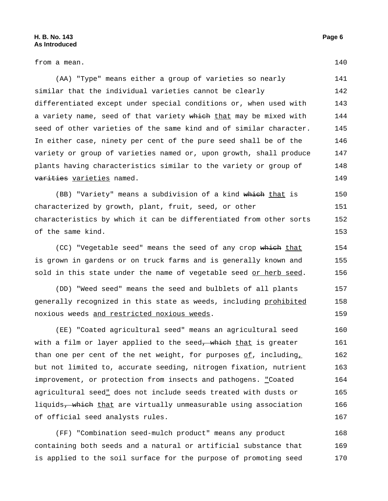from a mean. 140

(AA) "Type" means either a group of varieties so nearly similar that the individual varieties cannot be clearly differentiated except under special conditions or, when used with a variety name, seed of that variety which that may be mixed with seed of other varieties of the same kind and of similar character. In either case, ninety per cent of the pure seed shall be of the variety or group of varieties named or, upon growth, shall produce plants having characteristics similar to the variety or group of varities varieties named. 141 142 143 144 145 146 147 148 149

(BB) "Variety" means a subdivision of a kind which that is characterized by growth, plant, fruit, seed, or other characteristics by which it can be differentiated from other sorts of the same kind. 150 151 152 153

(CC) "Vegetable seed" means the seed of any crop which that is grown in gardens or on truck farms and is generally known and sold in this state under the name of vegetable seed or herb seed. 154 155 156

(DD) "Weed seed" means the seed and bulblets of all plants generally recognized in this state as weeds, including prohibited noxious weeds and restricted noxious weeds. 157 158 159

(EE) "Coated agricultural seed" means an agricultural seed with a film or layer applied to the seed<del>, which</del> that is greater than one per cent of the net weight, for purposes  $of$ , including, but not limited to, accurate seeding, nitrogen fixation, nutrient improvement, or protection from insects and pathogens. "Coated agricultural seed" does not include seeds treated with dusts or liquids, which that are virtually unmeasurable using association of official seed analysts rules. 160 161 162 163 164 165 166 167

(FF) "Combination seed-mulch product" means any product containing both seeds and a natural or artificial substance that is applied to the soil surface for the purpose of promoting seed 168 169 170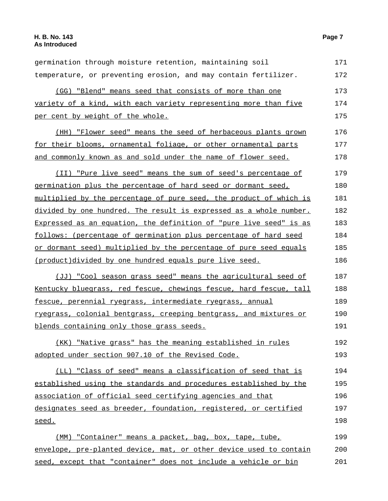germination through moisture retention, maintaining soil temperature, or preventing erosion, and may contain fertilizer. 171 172 (GG) "Blend" means seed that consists of more than one variety of a kind, with each variety representing more than five per cent by weight of the whole. 173 174 175 (HH) "Flower seed" means the seed of herbaceous plants grown for their blooms, ornamental foliage, or other ornamental parts and commonly known as and sold under the name of flower seed. 176 177 178 (II) "Pure live seed" means the sum of seed's percentage of germination plus the percentage of hard seed or dormant seed, multiplied by the percentage of pure seed, the product of which is divided by one hundred. The result is expressed as a whole number. Expressed as an equation, the definition of "pure live seed" is as follows: (percentage of germination plus percentage of hard seed or dormant seed) multiplied by the percentage of pure seed equals (product)divided by one hundred equals pure live seed. 179 180 181 182 183 184 185 186 (JJ) "Cool season grass seed" means the agricultural seed of Kentucky bluegrass, red fescue, chewings fescue, hard fescue, tall fescue, perennial ryegrass, intermediate ryegrass, annual ryegrass, colonial bentgrass, creeping bentgrass, and mixtures or blends containing only those grass seeds. 187 188 189 190 191 (KK) "Native grass" has the meaning established in rules adopted under section 907.10 of the Revised Code. 192 193 (LL) "Class of seed" means a classification of seed that is established using the standards and procedures established by the association of official seed certifying agencies and that designates seed as breeder, foundation, registered, or certified seed. 194 195 196 197 198 (MM) "Container" means a packet, bag, box, tape, tube, envelope, pre-planted device, mat, or other device used to contain 199 200

seed, except that "container" does not include a vehicle or bin

201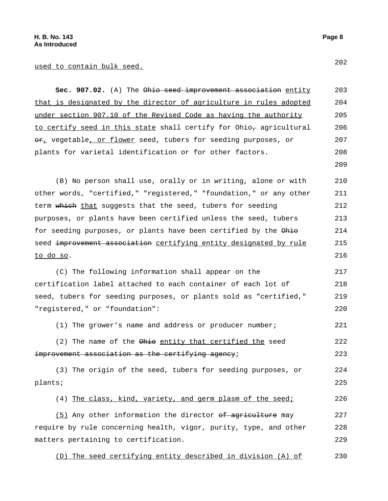# used to contain bulk seed. <sup>202</sup>

| Sec. 907.02. (A) The Ohio seed improvement association entity      | 203 |
|--------------------------------------------------------------------|-----|
| that is designated by the director of agriculture in rules adopted | 204 |
| under section 907.10 of the Revised Code as having the authority   | 205 |
| to certify seed in this state shall certify for Ohio-agricultural  | 206 |
| or, vegetable, or flower seed, tubers for seeding purposes, or     | 207 |
| plants for varietal identification or for other factors.           | 208 |

(B) No person shall use, orally or in writing, alone or with other words, "certified," "registered," "foundation," or any other term which that suggests that the seed, tubers for seeding purposes, or plants have been certified unless the seed, tubers for seeding purposes, or plants have been certified by the Ohio seed improvement association certifying entity designated by rule to do so. 210 211 212 213 214 215 216

(C) The following information shall appear on the certification label attached to each container of each lot of seed, tubers for seeding purposes, or plants sold as "certified," "registered," or "foundation": 217 218 219 220

(1) The grower's name and address or producer number; 221

(2) The name of the  $\Theta$ hio entity that certified the seed improvement association as the certifying agency; 222 223

(3) The origin of the seed, tubers for seeding purposes, or plants; 224 225

(4) The class, kind, variety, and germ plasm of the seed; 226

(5) Any other information the director of agriculture may require by rule concerning health, vigor, purity, type, and other matters pertaining to certification. 227 228 229

(D) The seed certifying entity described in division (A) of 230

209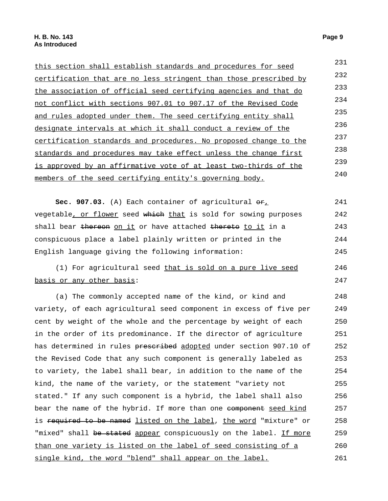this section shall establish standards and procedures for seed certification that are no less stringent than those prescribed by the association of official seed certifying agencies and that do not conflict with sections 907.01 to 907.17 of the Revised Code and rules adopted under them. The seed certifying entity shall designate intervals at which it shall conduct a review of the certification standards and procedures. No proposed change to the standards and procedures may take effect unless the change first is approved by an affirmative vote of at least two-thirds of the members of the seed certifying entity's governing body. 231 232 233 234 235 236 237 238 239 240

Sec. 907.03. (A) Each container of agricultural  $\Theta_{L}$ vegetable<u>, or flower</u> seed which that is sold for sowing purposes shall bear thereon on it or have attached thereto to it in a conspicuous place a label plainly written or printed in the English language giving the following information: 241 242 243 244 245

(1) For agricultural seed that is sold on a pure live seed basis or any other basis: 246 247

(a) The commonly accepted name of the kind, or kind and variety, of each agricultural seed component in excess of five per cent by weight of the whole and the percentage by weight of each in the order of its predominance. If the director of agriculture has determined in rules preseribed adopted under section 907.10 of the Revised Code that any such component is generally labeled as to variety, the label shall bear, in addition to the name of the kind, the name of the variety, or the statement "variety not stated." If any such component is a hybrid, the label shall also bear the name of the hybrid. If more than one component seed kind is required to be named listed on the label, the word "mixture" or "mixed" shall be stated appear conspicuously on the label. If more than one variety is listed on the label of seed consisting of a single kind, the word "blend" shall appear on the label. 248 249 250 251 252 253 254 255 256 257 258 259 260 261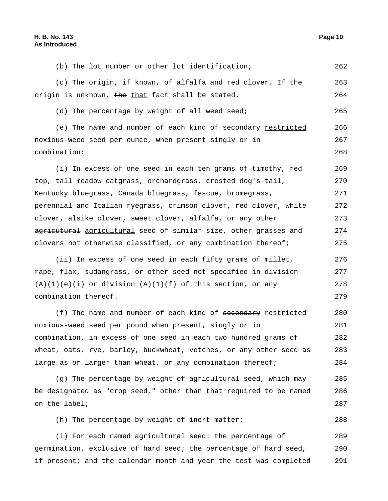| (b) The lot number $e^+$ -other-lot-identification;                | 262 |
|--------------------------------------------------------------------|-----|
| (c) The origin, if known, of alfalfa and red clover. If the        | 263 |
| origin is unknown, the that fact shall be stated.                  | 264 |
| (d) The percentage by weight of all weed seed;                     | 265 |
| (e) The name and number of each kind of secondary restricted       | 266 |
| noxious-weed seed per ounce, when present singly or in             | 267 |
| combination:                                                       | 268 |
| (i) In excess of one seed in each ten grams of timothy, red        | 269 |
| top, tall meadow oatgrass, orchardgrass, crested dog's-tail,       | 270 |
| Kentucky bluegrass, Canada bluegrass, fescue, bromegrass,          | 271 |
| perennial and Italian ryegrass, crimson clover, red clover, white  | 272 |
| clover, alsike clover, sweet clover, alfalfa, or any other         | 273 |
| agricutural agricultural seed of similar size, other grasses and   | 274 |
| clovers not otherwise classified, or any combination thereof;      | 275 |
| (ii) In excess of one seed in each fifty grams of millet,          | 276 |
| rape, flax, sudangrass, or other seed not specified in division    | 277 |
| $(A)(1)(e)(i)$ or division $(A)(1)(f)$ of this section, or any     | 278 |
| combination thereof.                                               | 279 |
| (f) The name and number of each kind of secondary restricted       | 280 |
| noxious-weed seed per pound when present, singly or in             | 281 |
| combination, in excess of one seed in each two hundred grams of    | 282 |
| wheat, oats, rye, barley, buckwheat, vetches, or any other seed as | 283 |
| large as or larger than wheat, or any combination thereof;         | 284 |
| (g) The percentage by weight of agricultural seed, which may       | 285 |
| be designated as "crop seed," other than that required to be named | 286 |
| on the label;                                                      | 287 |
| (h) The percentage by weight of inert matter;                      | 288 |
| (i) For each named agricultural seed: the percentage of            | 289 |

germination, exclusive of hard seed; the percentage of hard seed, if present; and the calendar month and year the test was completed 290 291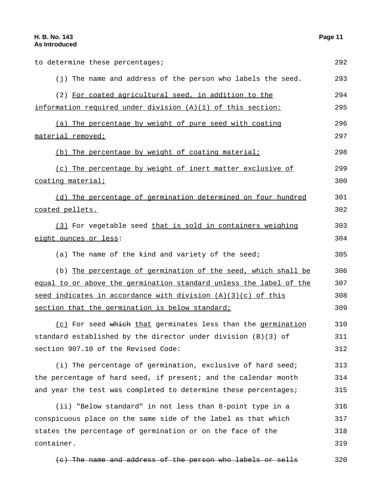| to determine these percentages;                                    | 292 |
|--------------------------------------------------------------------|-----|
| (j) The name and address of the person who labels the seed.        | 293 |
| (2) For coated agricultural seed, in addition to the               | 294 |
| information required under division (A)(1) of this section:        | 295 |
| (a) The percentage by weight of pure seed with coating             | 296 |
| material removed;                                                  | 297 |
| (b) The percentage by weight of coating material;                  | 298 |
| (c) The percentage by weight of inert matter exclusive of          | 299 |
| coating material;                                                  | 300 |
| (d) The percentage of germination determined on four hundred       | 301 |
| coated pellets.                                                    | 302 |
| (3) For vegetable seed that is sold in containers weighing         | 303 |
| eight ounces or less:                                              | 304 |
| (a) The name of the kind and variety of the seed;                  | 305 |
| (b) The percentage of germination of the seed, which shall be      | 306 |
| equal to or above the germination standard unless the label of the | 307 |
| seed indicates in accordance with division (A)(3)(c) of this       | 308 |
| section that the germination is below standard;                    | 309 |
| (c) For seed which that germinates less than the germination       | 310 |
| standard established by the director under division (B)(3) of      | 311 |
| section 907.10 of the Revised Code:                                | 312 |
| (i) The percentage of germination, exclusive of hard seed;         | 313 |
| the percentage of hard seed, if present; and the calendar month    | 314 |
| and year the test was completed to determine these percentages;    | 315 |
| (ii) "Below standard" in not less than 8-point type in a           | 316 |
| conspicuous place on the same side of the label as that which      | 317 |
| states the percentage of germination or on the face of the         | 318 |
| container.                                                         | 319 |
| The name and address of the person who labels or sells             | 320 |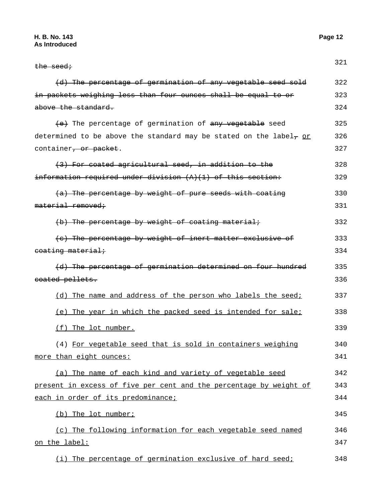| $the - seed \div$                                                           | 321 |
|-----------------------------------------------------------------------------|-----|
| (d) The percentage of germination of any vegetable seed sold                | 322 |
| in packets weighing less than four ounces shall be equal to or              | 323 |
| above the standard.                                                         | 324 |
| (e) The percentage of germination of any vegetable seed                     | 325 |
| determined to be above the standard may be stated on the label $_7$ or      | 326 |
| container <del>, or packet</del> .                                          | 327 |
| (3) For coated agricultural seed, in addition to the                        | 328 |
| $\frac{1}{1}$ information required under division $(A)(1)$ of this section: | 329 |
| (a) The percentage by weight of pure seeds with coating                     | 330 |
| material removed;                                                           | 331 |
| (b) The percentage by weight of coating material;                           | 332 |
| (c) The percentage by weight of inert matter exclusive of                   | 333 |
| eoating material:                                                           | 334 |
| (d) The percentage of germination determined on four hundred                | 335 |
| eoated pellets.                                                             | 336 |
| (d) The name and address of the person who labels the seed;                 | 337 |
| (e) The year in which the packed seed is intended for sale;                 | 338 |
| (f) The lot number.                                                         | 339 |
| (4) For vegetable seed that is sold in containers weighing                  | 340 |
| more than eight ounces:                                                     | 341 |
| (a) The name of each kind and variety of vegetable seed                     | 342 |
| present in excess of five per cent and the percentage by weight of          | 343 |
| each in order of its predominance;                                          | 344 |
| (b) The lot number;                                                         | 345 |
| (c) The following information for each vegetable seed named                 | 346 |
| <u>on the label:</u>                                                        | 347 |
| (i) The percentage of germination exclusive of hard seed;                   | 348 |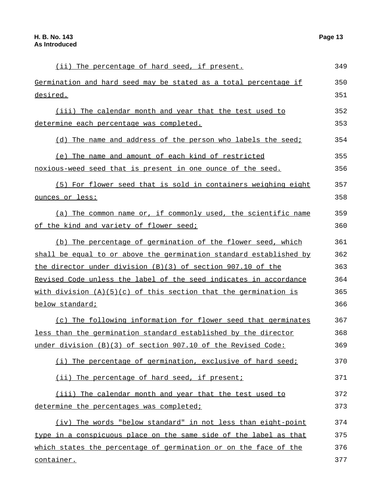(ii) The percentage of hard seed, if present. 349 Germination and hard seed may be stated as a total percentage if desired. 350 351 (iii) The calendar month and year that the test used to determine each percentage was completed. 352 353 (d) The name and address of the person who labels the seed; 354 (e) The name and amount of each kind of restricted noxious-weed seed that is present in one ounce of the seed. 355 356 (5) For flower seed that is sold in containers weighing eight ounces or less: 357 358 (a) The common name or, if commonly used, the scientific name of the kind and variety of flower seed; 359 360 (b) The percentage of germination of the flower seed, which shall be equal to or above the germination standard established by the director under division (B)(3) of section 907.10 of the Revised Code unless the label of the seed indicates in accordance with division  $(A)(5)(c)$  of this section that the germination is below standard; 361 362 363 364 365 366 (c) The following information for flower seed that germinates less than the germination standard established by the director under division (B)(3) of section 907.10 of the Revised Code: 367 368 369 (i) The percentage of germination, exclusive of hard seed; 370 (ii) The percentage of hard seed, if present; 371 (iii) The calendar month and year that the test used to determine the percentages was completed; 372 373 (iv) The words "below standard" in not less than eight-point type in a conspicuous place on the same side of the label as that which states the percentage of germination or on the face of the 374 375 376

container.

377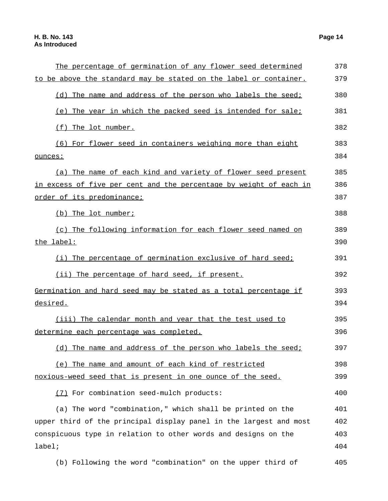| The percentage of germination of any flower seed determined        | 378 |
|--------------------------------------------------------------------|-----|
| to be above the standard may be stated on the label or container.  | 379 |
| (d) The name and address of the person who labels the seed;        | 380 |
| (e) The year in which the packed seed is intended for sale;        | 381 |
| (f) The lot number.                                                | 382 |
| (6) For flower seed in containers weighing more than eight         | 383 |
| ounces:                                                            | 384 |
| (a) The name of each kind and variety of flower seed present       | 385 |
| in excess of five per cent and the percentage by weight of each in | 386 |
| order of its predominance;                                         | 387 |
| (b) The lot number;                                                | 388 |
| (c) The following information for each flower seed named on        | 389 |
| the label:                                                         | 390 |
| (i) The percentage of germination exclusive of hard seed;          | 391 |
| (ii) The percentage of hard seed, if present.                      | 392 |
| Germination and hard seed may be stated as a total percentage if   | 393 |
| desired.                                                           | 394 |
| (iii) The calendar month and year that the test used to            | 395 |
| determine each percentage was completed.                           | 396 |
| (d) The name and address of the person who labels the seed;        | 397 |
| (e) The name and amount of each kind of restricted                 | 398 |
| noxious-weed seed that is present in one ounce of the seed.        | 399 |
| (7) For combination seed-mulch products:                           | 400 |
| (a) The word "combination," which shall be printed on the          | 401 |
| upper third of the principal display panel in the largest and most | 402 |
| conspicuous type in relation to other words and designs on the     | 403 |
| label;                                                             | 404 |
|                                                                    |     |
| (b) Following the word "combination" on the upper third of         | 405 |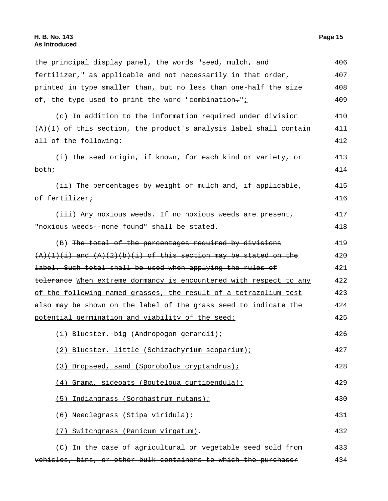### **H. B. No. 143 Page 15 As Introduced**

| the principal display panel, the words "seed, mulch, and             | 406 |
|----------------------------------------------------------------------|-----|
| fertilizer," as applicable and not necessarily in that order,        | 407 |
| printed in type smaller than, but no less than one-half the size     | 408 |
| of, the type used to print the word "combination-"i                  | 409 |
| (c) In addition to the information required under division           | 410 |
| $(A)(1)$ of this section, the product's analysis label shall contain | 411 |
| all of the following:                                                | 412 |
| (i) The seed origin, if known, for each kind or variety, or          | 413 |
| both;                                                                | 414 |
| (ii) The percentages by weight of mulch and, if applicable,          | 415 |
| of fertilizer;                                                       | 416 |
| (iii) Any noxious weeds. If no noxious weeds are present,            | 417 |
| "noxious weeds--none found" shall be stated.                         | 418 |
| (B) The total of the percentages required by divisions               | 419 |
| $(A)(1)(i)$ and $(A)(2)(b)(i)$ of this section may be stated on the  | 420 |
| label. Such total shall be used when applying the rules of           | 421 |
| tolerance When extreme dormancy is encountered with respect to any   | 422 |
| of the following named grasses, the result of a tetrazolium test     | 423 |
| also may be shown on the label of the grass seed to indicate the     | 424 |
| potential germination and viability of the seed:                     | 425 |
| (1) Bluestem, big (Andropogon gerardii);                             | 426 |
| (2) Bluestem, little (Schizachyrium scoparium);                      | 427 |
| (3) Dropseed, sand (Sporobolus cryptandrus);                         | 428 |
| (4) Grama, sideoats (Bouteloua curtipendula);                        | 429 |
| Indiangrass (Sorghastrum nutans);<br>(5)                             | 430 |
| (6) Needlegrass (Stipa viridula);                                    | 431 |
| (7) Switchgrass (Panicum virgatum).                                  | 432 |
| (C) In the case of agricultural or vegetable seed sold from          | 433 |
| vehicles, bins, or other bulk containers to which the purchaser      | 434 |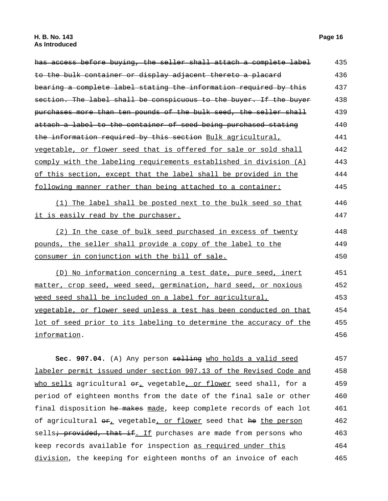| has access before buying, the seller shall attach a complete label | 435 |
|--------------------------------------------------------------------|-----|
| to the bulk container or display adjacent thereto a placard        | 436 |
| bearing a complete label stating the information required by this  | 437 |
| section. The label shall be conspicuous to the buyer. If the buyer | 438 |
| purchases more than ten pounds of the bulk seed, the seller shall  | 439 |
| attach a label to the container of seed being purchased stating    | 440 |
| the information required by this section Bulk agricultural,        | 441 |
| vegetable, or flower seed that is offered for sale or sold shall   | 442 |
| comply with the labeling requirements established in division (A)  | 443 |
| of this section, except that the label shall be provided in the    | 444 |
| following manner rather than being attached to a container:        | 445 |
| (1) The label shall be posted next to the bulk seed so that        | 446 |
| it is easily read by the purchaser.                                | 447 |
| (2) In the case of bulk seed purchased in excess of twenty         | 448 |
| pounds, the seller shall provide a copy of the label to the        | 449 |
| consumer in conjunction with the bill of sale.                     | 450 |
| (D) No information concerning a test date, pure seed, inert        | 451 |
| matter, crop seed, weed seed, germination, hard seed, or noxious   | 452 |
| weed seed shall be included on a label for agricultural,           | 453 |
| vegetable, or flower seed unless a test has been conducted on that | 454 |
| lot of seed prior to its labeling to determine the accuracy of the | 455 |
| information.                                                       | 456 |
|                                                                    |     |

**Sec. 907.04.** (A) Any person selling who holds a valid seed labeler permit issued under section 907.13 of the Revised Code and who sells agricultural  $\Theta$ <sub>r</sub> vegetable, or flower seed shall, for a period of eighteen months from the date of the final sale or other final disposition he makes made, keep complete records of each lot of agricultural  $er_{\perp}$  vegetable, or flower seed that he the person sells<del>; provided, that if</del>. If purchases are made from persons who keep records available for inspection as required under this division, the keeping for eighteen months of an invoice of each 457 458 459 460 461 462 463 464 465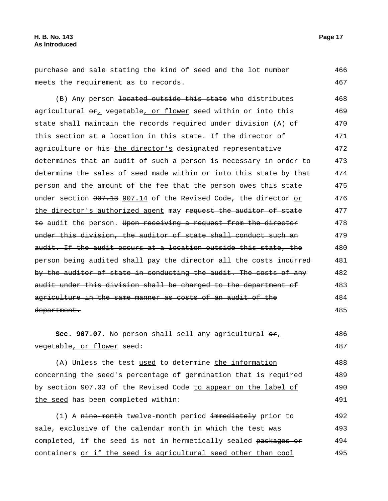purchase and sale stating the kind of seed and the lot number meets the requirement as to records. 466 467

(B) Any person <del>located outside this state</del> who distributes agricultural  $\Theta_{L}$  vegetable, or flower seed within or into this state shall maintain the records required under division (A) of this section at a location in this state. If the director of agriculture or his the director's designated representative determines that an audit of such a person is necessary in order to determine the sales of seed made within or into this state by that person and the amount of the fee that the person owes this state under section 907.13 907.14 of the Revised Code, the director or the director's authorized agent may request the auditor of state to audit the person. Upon receiving a request from the director under this division, the auditor of state shall conduct such an audit. If the audit occurs at a location outside this state, the person being audited shall pay the director all the costs incurred by the auditor of state in conducting the audit. The costs of any audit under this division shall be charged to the department of agriculture in the same manner as costs of an audit of the department. 468 469 470 471 472 473 474 475 476 477 478 479 480 481 482 483 484 485

Sec. 907.07. No person shall sell any agricultural  $\Theta_{t}$ vegetable, or flower seed: 486 487

(A) Unless the test used to determine the information concerning the seed's percentage of germination that is required by section 907.03 of the Revised Code to appear on the label of the seed has been completed within: 488 489 490 491

(1) A nine-month twelve-month period immediately prior to sale, exclusive of the calendar month in which the test was completed, if the seed is not in hermetically sealed packages or containers or if the seed is agricultural seed other than cool 492 493 494 495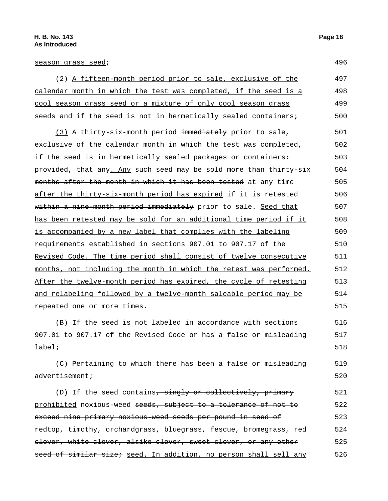| (2) A fifteen-month period prior to sale, exclusive of the       | 497 |
|------------------------------------------------------------------|-----|
| calendar month in which the test was completed, if the seed is a | 498 |
| cool season grass seed or a mixture of only cool season grass    | 499 |
| seeds and if the seed is not in hermetically sealed containers;  | 500 |

(3) A thirty-six-month period immediately prior to sale, exclusive of the calendar month in which the test was completed, if the seed is in hermetically sealed packages or containers: provided, that any. Any such seed may be sold more than thirty-six months after the month in which it has been tested at any time after the thirty-six-month period has expired if it is retested within a nine-month period immediately prior to sale. Seed that has been retested may be sold for an additional time period if it is accompanied by a new label that complies with the labeling requirements established in sections 907.01 to 907.17 of the Revised Code. The time period shall consist of twelve consecutive months, not including the month in which the retest was performed. After the twelve-month period has expired, the cycle of retesting and relabeling followed by a twelve-month saleable period may be repeated one or more times. 501 502 503 504 505 506 507 508 509 510 511 512 513 514 515

(B) If the seed is not labeled in accordance with sections 907.01 to 907.17 of the Revised Code or has a false or misleading label; 516 517 518

(C) Pertaining to which there has been a false or misleading advertisement; 519 520

(D) If the seed contains, singly or collectively, primary prohibited noxious-weed seeds, subject to a tolerance of not to exceed nine primary noxious-weed seeds per pound in seed of redtop, timothy, orchardgrass, bluegrass, fescue, bromegrass, red clover, white clover, alsike clover, sweet clover, or any other seed of similar size; seed. In addition, no person shall sell any 521 522 523 524 525 526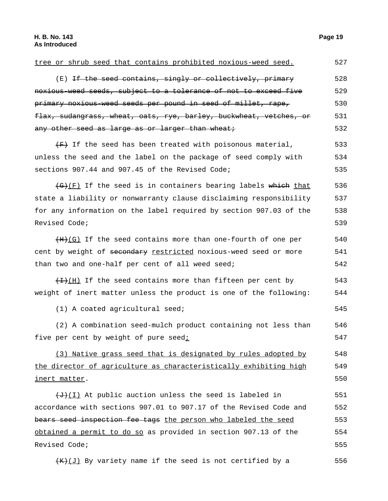| tree or shrub seed that contains prohibited noxious-weed seed.             | 527 |
|----------------------------------------------------------------------------|-----|
| (E) If the seed contains, singly or collectively, primary                  | 528 |
| noxious weed seeds, subject to a tolerance of not to exceed five           | 529 |
| primary noxious-weed seeds per pound in seed of millet, rape,              | 530 |
| flax, sudangrass, wheat, oats, rye, barley, buckwheat, vetches, or         | 531 |
| any other seed as large as or larger than wheat;                           | 532 |
| $\overline{f}$ If the seed has been treated with poisonous material,       | 533 |
| unless the seed and the label on the package of seed comply with           | 534 |
| sections 907.44 and 907.45 of the Revised Code;                            | 535 |
| $\overline{(G)(F)}$ If the seed is in containers bearing labels which that | 536 |
| state a liability or nonwarranty clause disclaiming responsibility         | 537 |
| for any information on the label required by section 907.03 of the         | 538 |
| Revised Code;                                                              | 539 |
| $(H)$ (G) If the seed contains more than one-fourth of one per             | 540 |
| cent by weight of secondary restricted noxious-weed seed or more           | 541 |
| than two and one-half per cent of all weed seed;                           | 542 |
| $\overline{+1}(H)$ If the seed contains more than fifteen per cent by      | 543 |
| weight of inert matter unless the product is one of the following:         | 544 |
| (1) A coated agricultural seed;                                            | 545 |
| (2) A combination seed-mulch product containing not less than              | 546 |
| five per cent by weight of pure seedi                                      | 547 |
| (3) Native grass seed that is designated by rules adopted by               | 548 |
| the director of agriculture as characteristically exhibiting high          | 549 |
| inert matter.                                                              | 550 |
| $\overline{+J+1}$ at public auction unless the seed is labeled in          | 551 |
| accordance with sections 907.01 to 907.17 of the Revised Code and          | 552 |
| bears seed inspection fee tags the person who labeled the seed             | 553 |
| obtained a permit to do so as provided in section 907.13 of the            | 554 |
| Revised Code;                                                              | 555 |
| $(K)$ (J) By variety name if the seed is not certified by a                | 556 |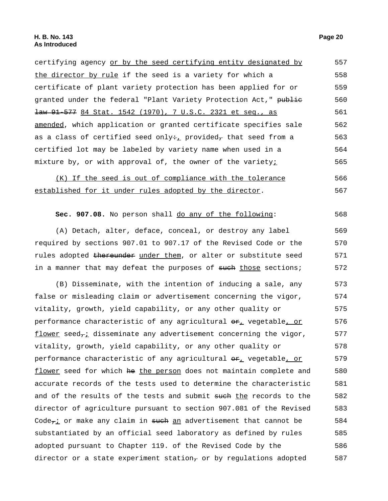certifying agency or by the seed certifying entity designated by the director by rule if the seed is a variety for which a certificate of plant variety protection has been applied for or granted under the federal "Plant Variety Protection Act," public law 91-577 84 Stat. 1542 (1970), 7 U.S.C. 2321 et seq., as amended, which application or granted certificate specifies sale as a class of certified seed only÷<sub> $\perp$ </sub> provided<sub>7</sub> that seed from a certified lot may be labeled by variety name when used in a mixture by, or with approval of, the owner of the variety; 557 558 559 560 561 562 563 564 565

(K) If the seed is out of compliance with the tolerance established for it under rules adopted by the director. 566 567

**Sec. 907.08.** No person shall <u>do any of the following</u>: 568

(A) Detach, alter, deface, conceal, or destroy any label required by sections 907.01 to 907.17 of the Revised Code or the rules adopted thereunder under them, or alter or substitute seed in a manner that may defeat the purposes of such those sections; 569 570 571 572

(B) Disseminate, with the intention of inducing a sale, any false or misleading claim or advertisement concerning the vigor, vitality, growth, yield capability, or any other quality or performance characteristic of any agricultural  $\theta_{L}$  vegetable, or flower seed $\tau$ i disseminate any advertisement concerning the vigor, vitality, growth, yield capability, or any other quality or performance characteristic of any agricultural  $\Theta_{\pm}$  vegetable, or flower seed for which he the person does not maintain complete and accurate records of the tests used to determine the characteristic and of the results of the tests and submit such the records to the director of agriculture pursuant to section 907.081 of the Revised Code $\tau$ i or make any claim in such an advertisement that cannot be substantiated by an official seed laboratory as defined by rules adopted pursuant to Chapter 119. of the Revised Code by the director or a state experiment station $_7$  or by regulations adopted 573 574 575 576 577 578 579 580 581 582 583 584 585 586 587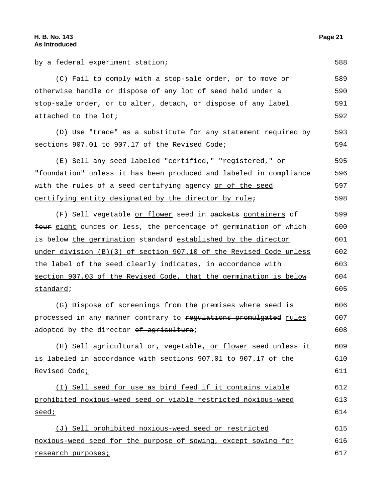by a federal experiment station; experiment station; the station of  $588$ 

(C) Fail to comply with a stop-sale order, or to move or otherwise handle or dispose of any lot of seed held under a stop-sale order, or to alter, detach, or dispose of any label attached to the lot; 589 590 591 592

(D) Use "trace" as a substitute for any statement required by sections 907.01 to 907.17 of the Revised Code; 593 594

(E) Sell any seed labeled "certified," "registered," or "foundation" unless it has been produced and labeled in compliance with the rules of a seed certifying agency or of the seed certifying entity designated by the director by rule; 595 596 597 598

(F) Sell vegetable or flower seed in packets containers of four eight ounces or less, the percentage of germination of which is below the germination standard established by the director under division (B)(3) of section 907.10 of the Revised Code unless the label of the seed clearly indicates, in accordance with section 907.03 of the Revised Code, that the germination is below standard; 599 600 601 602 603 604 605

(G) Dispose of screenings from the premises where seed is processed in any manner contrary to regulations promulgated rules adopted by the director of agriculture; 606 607 608

(H) Sell agricultural  $\Theta \hat{r}_L$  vegetable, or flower seed unless it is labeled in accordance with sections 907.01 to 907.17 of the Revised Code<sub>i</sub> 609 610 611

(I) Sell seed for use as bird feed if it contains viable prohibited noxious-weed seed or viable restricted noxious-weed seed; 612 613 614

(J) Sell prohibited noxious-weed seed or restricted noxious-weed seed for the purpose of sowing, except sowing for research purposes; 615 616 617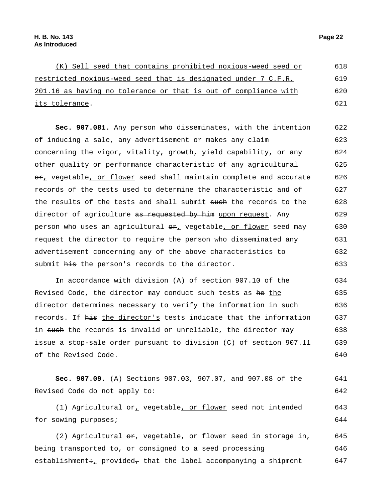| (K) Sell seed that contains prohibited noxious-weed seed or     | 618 |
|-----------------------------------------------------------------|-----|
| restricted noxious-weed seed that is designated under 7 C.F.R.  | 619 |
| 201.16 as having no tolerance or that is out of compliance with | 620 |
| its tolerance.                                                  | 621 |

**Sec. 907.081.** Any person who disseminates, with the intention of inducing a sale, any advertisement or makes any claim concerning the vigor, vitality, growth, yield capability, or any other quality or performance characteristic of any agricultural  $\Theta_{t}$  vegetable, or flower seed shall maintain complete and accurate records of the tests used to determine the characteristic and of the results of the tests and shall submit such the records to the director of agriculture as requested by him upon request. Any person who uses an agricultural  $er_+$  vegetable, or flower seed may request the director to require the person who disseminated any advertisement concerning any of the above characteristics to submit his the person's records to the director. 622 623 624 625 626 627 628 629 630 631 632 633

In accordance with division (A) of section 907.10 of the Revised Code, the director may conduct such tests as he the director determines necessary to verify the information in such records. If his the director's tests indicate that the information in such the records is invalid or unreliable, the director may issue a stop-sale order pursuant to division (C) of section 907.11 of the Revised Code. 634 635 636 637 638 639 640

**Sec. 907.09.** (A) Sections 907.03, 907.07, and 907.08 of the Revised Code do not apply to: 641 642

(1) Agricultural  $er_{\perp}$  vegetable, or flower seed not intended for sowing purposes; 643 644

(2) Agricultural  $\Theta_{\mathcal{L}}$  vegetable, or flower seed in storage in, being transported to, or consigned to a seed processing establishment $\div_{\mathcal{L}}$  provided<sub> $\tau$ </sub> that the label accompanying a shipment 645 646 647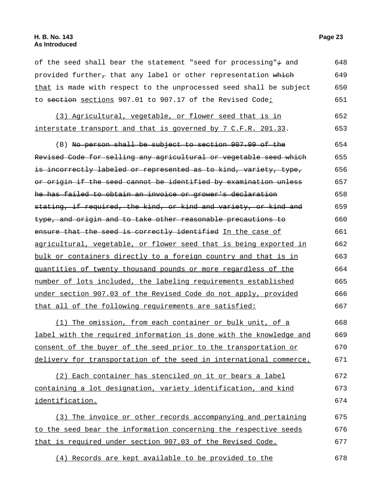of the seed shall bear the statement "seed for processing" $\div$  and provided further<sub>7</sub> that any label or other representation which that is made with respect to the unprocessed seed shall be subject to section sections 907.01 to 907.17 of the Revised Code; 648 649 650 651

(3) Agricultural, vegetable, or flower seed that is in interstate transport and that is governed by 7 C.F.R. 201.33. 652 653

(B) No person shall be subject to section 907.99 of the Revised Code for selling any agricultural or vegetable seed which is incorrectly labeled or represented as to kind, variety, type, or origin if the seed cannot be identified by examination unless he has failed to obtain an invoice or grower's declaration stating, if required, the kind, or kind and variety, or kind and type, and origin and to take other reasonable precautions to ensure that the seed is correctly identified In the case of agricultural, vegetable, or flower seed that is being exported in bulk or containers directly to a foreign country and that is in quantities of twenty thousand pounds or more regardless of the number of lots included, the labeling requirements established under section 907.03 of the Revised Code do not apply, provided that all of the following requirements are satisfied: 654 655 656 657 658 659 660 661 662 663 664 665 666 667

(1) The omission, from each container or bulk unit, of a label with the required information is done with the knowledge and consent of the buyer of the seed prior to the transportation or delivery for transportation of the seed in international commerce. 668 669 670 671

(2) Each container has stenciled on it or bears a label containing a lot designation, variety identification, and kind identification. 672 673 674

(3) The invoice or other records accompanying and pertaining to the seed bear the information concerning the respective seeds that is required under section 907.03 of the Revised Code. 675 676 677

(4) Records are kept available to be provided to the 678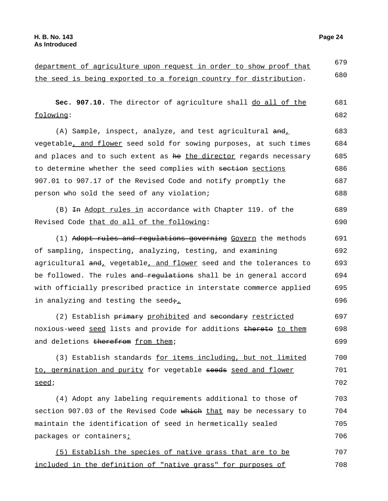| department of agriculture upon request in order to show proof that     | 679 |
|------------------------------------------------------------------------|-----|
| the seed is being exported to a foreign country for distribution.      | 680 |
|                                                                        |     |
| sec. 907.10. The director of agriculture shall do all of the           | 681 |
| folowing:                                                              | 682 |
| (A) Sample, inspect, analyze, and test agricultural $\overline{and}_L$ | 683 |
| vegetable, and flower seed sold for sowing purposes, at such times     | 684 |
| and places and to such extent as he the director regards necessary     | 685 |
| to determine whether the seed complies with section sections           | 686 |
| 907.01 to 907.17 of the Revised Code and notify promptly the           | 687 |
| person who sold the seed of any violation;                             | 688 |
| (B) <del>In</del> Adopt rules in accordance with Chapter 119. of the   | 689 |
| Revised Code that do all of the following:                             | 690 |
| (1) Adopt rules and regulations governing Govern the methods           | 691 |
| of sampling, inspecting, analyzing, testing, and examining             | 692 |
| agricultural and vegetable and flower seed and the tolerances to       | 693 |
| be followed. The rules and regulations shall be in general accord      | 694 |
| with officially prescribed practice in interstate commerce applied     | 695 |
| in analyzing and testing the seed+.                                    | 696 |
| (2) Establish primary prohibited and secondary restricted              | 697 |
| noxious-weed seed lists and provide for additions thereto to them      | 698 |
| and deletions therefrom from them;                                     | 699 |
| (3) Establish standards for items including, but not limited           | 700 |
| to, germination and purity for vegetable seeds seed and flower         | 701 |
| seed;                                                                  | 702 |
| (4) Adopt any labeling requirements additional to those of             | 703 |
| section 907.03 of the Revised Code which that may be necessary to      | 704 |
| maintain the identification of seed in hermetically sealed             | 705 |
| packages or containersi                                                | 706 |
| (5) Establish the species of native grass that are to be               | 707 |
| included in the definition of "native grass" for purposes of           | 708 |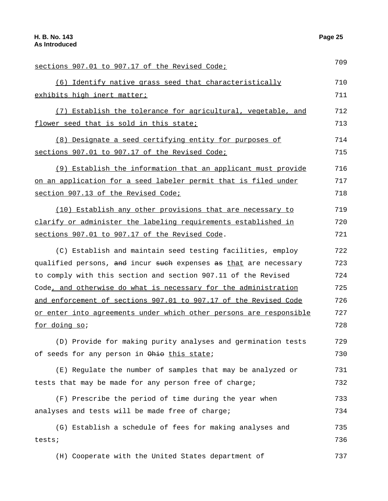| sections 907.01 to 907.17 of the Revised Code;                     | 709 |
|--------------------------------------------------------------------|-----|
| (6) Identify native grass seed that characteristically             | 710 |
| exhibits high inert matter;                                        | 711 |
| (7) Establish the tolerance for agricultural, vegetable, and       | 712 |
| flower seed that is sold in this state;                            | 713 |
| (8) Designate a seed certifying entity for purposes of             | 714 |
| sections 907.01 to 907.17 of the Revised Code;                     | 715 |
| (9) Establish the information that an applicant must provide       | 716 |
| on an application for a seed labeler permit that is filed under    | 717 |
| section 907.13 of the Revised Code;                                | 718 |
| (10) Establish any other provisions that are necessary to          | 719 |
| clarify or administer the labeling requirements established in     | 720 |
| sections 907.01 to 907.17 of the Revised Code.                     | 721 |
| (C) Establish and maintain seed testing facilities, employ         | 722 |
| qualified persons, and incur such expenses as that are necessary   | 723 |
| to comply with this section and section 907.11 of the Revised      | 724 |
| Code, and otherwise do what is necessary for the administration    | 725 |
| and enforcement of sections 907.01 to 907.17 of the Revised Code   | 726 |
| or enter into agreements under which other persons are responsible | 727 |
| for doing so;                                                      | 728 |
| (D) Provide for making purity analyses and germination tests       | 729 |
| of seeds for any person in Ohio this state;                        | 730 |
| (E) Regulate the number of samples that may be analyzed or         | 731 |
| tests that may be made for any person free of charge;              | 732 |
| (F) Prescribe the period of time during the year when              | 733 |
| analyses and tests will be made free of charge;                    | 734 |
| (G) Establish a schedule of fees for making analyses and           | 735 |
| tests;                                                             | 736 |
| (H) Cooperate with the United States department of                 | 737 |
|                                                                    |     |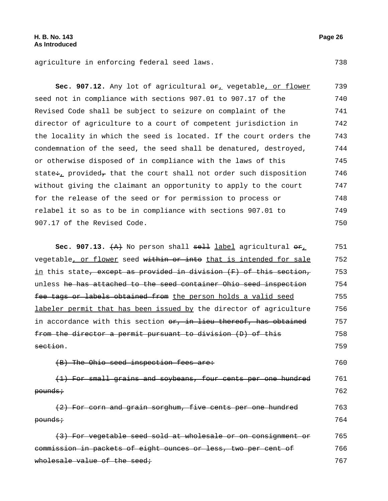agriculture in enforcing federal seed laws. 738

Sec. 907.12. Any lot of agricultural  $er_{\perp}$  vegetable, or flower seed not in compliance with sections 907.01 to 907.17 of the Revised Code shall be subject to seizure on complaint of the director of agriculture to a court of competent jurisdiction in the locality in which the seed is located. If the court orders the condemnation of the seed, the seed shall be denatured, destroyed, or otherwise disposed of in compliance with the laws of this state: provided, that the court shall not order such disposition without giving the claimant an opportunity to apply to the court for the release of the seed or for permission to process or relabel it so as to be in compliance with sections 907.01 to 907.17 of the Revised Code. 739 740 741 742 743 744 745 746 747 748 749 750

**Sec. 907.13.** (A) No person shall sell label agricultural or, vegetable, or flower seed within or into that is intended for sale in this state, except as provided in division (F) of this section, unless he has attached to the seed container Ohio seed inspection fee tags or labels obtained from the person holds a valid seed labeler permit that has been issued by the director of agriculture in accordance with this section or, in lieu thereof, has obtained from the director a permit pursuant to division (D) of this section. 751 752 753 754 755 756 757 758 759

(B) The Ohio seed inspection fees are: 760

(1) For small grains and soybeans, four cents per one hundred pounds; 761 762

(2) For corn and grain sorghum, five cents per one hundred pounds; 763 764

(3) For vegetable seed sold at wholesale or on consignment or commission in packets of eight ounces or less, two per cent of wholesale value of the seed; 765 766 767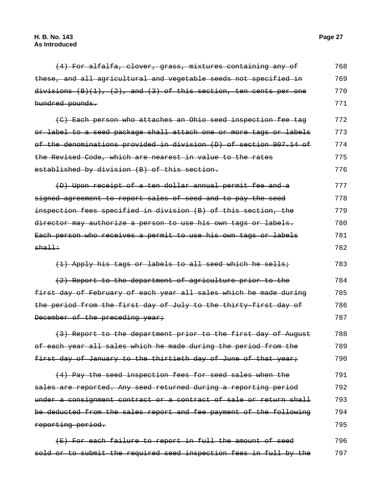| (4) For alfalfa, clover, grass, mixtures containing any of          | 768 |
|---------------------------------------------------------------------|-----|
| these, and all agricultural and vegetable seeds not specified in    | 769 |
| $divisions (B)(1), (2), and (3) of this section, ten cents per one$ | 770 |
| hundred pounds.                                                     | 771 |
| (C) Each person who attaches an Ohio seed inspection fee tag        | 772 |
| or label to a seed package shall attach one or more tags or labels  | 773 |
| of the denominations provided in division (D) of section 907.14 of  | 774 |
| the Revised Code, which are nearest in value to the rates           | 775 |
| established by division (B) of this section.                        | 776 |
| (D) Upon receipt of a ten dollar annual permit fee and a            | 777 |
| signed agreement to report sales of seed and to pay the seed        | 778 |
| inspection fees specified in division (B) of this section, the      | 779 |
| director may authorize a person to use his own tags or labels.      | 780 |
| Each person who receives a permit to use his own tags or labels     | 781 |
| $sha$ ll $\div$                                                     | 782 |
| (1) Apply his tags or labels to all seed which he sells;            | 783 |
| (2) Report to the department of agriculture prior to the            | 784 |
| first day of February of each year all sales which he made during   | 785 |
| the period from the first day of July to the thirty first day of    | 786 |
| December of the preceding year;                                     | 787 |
| (3) Report to the department prior to the first day of August       | 788 |
| of each year all sales which he made during the period from the     | 789 |
| first day of January to the thirtieth day of June of that year;     | 790 |
| (4) Pay the seed inspection fees for seed sales when the            | 791 |
| sales are reported. Any seed returned during a reporting period     | 792 |
| under a consignment contract or a contract of sale or return shall  | 793 |
| be deducted from the sales report and fee payment of the following  | 794 |
| reporting period.                                                   | 795 |
| (E) For each failure to report in full the amount of seed           | 796 |

sold or to submit the required seed inspection fees in full by the 797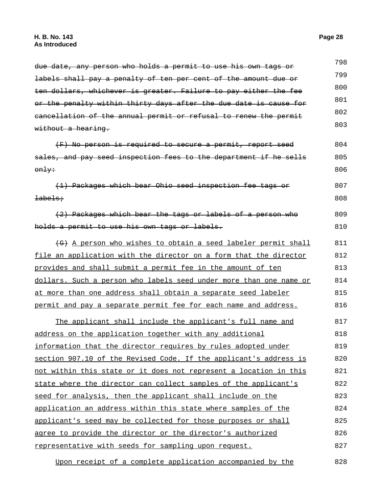| due date, any person who holds a permit to use his own tags or     | 798 |
|--------------------------------------------------------------------|-----|
| labels shall pay a penalty of ten per cent of the amount due or    | 799 |
| ten dollars, whichever is greater. Failure to pay either the fee   | 800 |
| or the penalty within thirty days after the due date is cause for  | 801 |
| eancellation of the annual permit or refusal to renew the permit   | 802 |
| without a hearing.                                                 | 803 |
| (F) No person is required to secure a permit, report seed          | 804 |
|                                                                    |     |
| sales, and pay seed inspection fees to the department if he sells  | 805 |
| only:                                                              | 806 |
| (1) Packages which bear Ohio seed inspection fee tags or           | 807 |
| labels;                                                            | 808 |
| (2) Packages which bear the tags or labels of a person who         | 809 |
| holds a permit to use his own tags or labels.                      | 810 |
|                                                                    |     |
| (G) A person who wishes to obtain a seed labeler permit shall      | 811 |
| file an application with the director on a form that the director  | 812 |
| provides and shall submit a permit fee in the amount of ten        | 813 |
| dollars. Such a person who labels seed under more than one name or | 814 |
| at more than one address shall obtain a separate seed labeler      | 815 |
| permit and pay a separate permit fee for each name and address.    | 816 |
| The applicant shall include the applicant's full name and          | 817 |
| address on the application together with any additional            | 818 |
| information that the director requires by rules adopted under      | 819 |
| section 907.10 of the Revised Code. If the applicant's address is  | 820 |
| not within this state or it does not represent a location in this  | 821 |
| state where the director can collect samples of the applicant's    | 822 |
| seed for analysis, then the applicant shall include on the         | 823 |
| application an address within this state where samples of the      | 824 |
| applicant's seed may be collected for those purposes or shall      | 825 |
| agree to provide the director or the director's authorized         | 826 |
| representative with seeds for sampling upon request.               | 827 |
|                                                                    |     |

Upon receipt of a complete application accompanied by the 828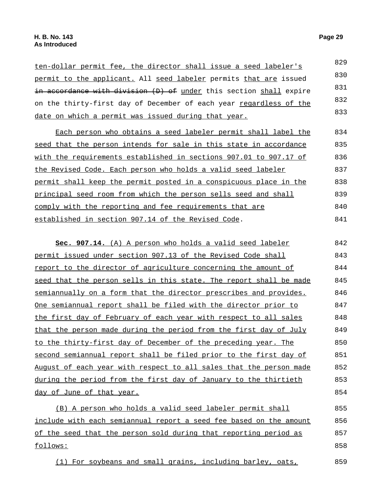| ten-dollar permit fee, the director shall issue a seed labeler's   | 829 |
|--------------------------------------------------------------------|-----|
| permit to the applicant. All seed labeler permits that are issued  | 830 |
| in accordance with division (D) of under this section shall expire | 831 |
| on the thirty-first day of December of each year regardless of the | 832 |
| date on which a permit was issued during that year.                | 833 |

Each person who obtains a seed labeler permit shall label the seed that the person intends for sale in this state in accordance with the requirements established in sections 907.01 to 907.17 of the Revised Code. Each person who holds a valid seed labeler permit shall keep the permit posted in a conspicuous place in the principal seed room from which the person sells seed and shall comply with the reporting and fee requirements that are established in section 907.14 of the Revised Code. 834 835 836 837 838 839 840 841

**Sec. 907.14.** (A) A person who holds a valid seed labeler permit issued under section 907.13 of the Revised Code shall report to the director of agriculture concerning the amount of seed that the person sells in this state. The report shall be made semiannually on a form that the director prescribes and provides. One semiannual report shall be filed with the director prior to the first day of February of each year with respect to all sales that the person made during the period from the first day of July to the thirty-first day of December of the preceding year. The second semiannual report shall be filed prior to the first day of August of each year with respect to all sales that the person made during the period from the first day of January to the thirtieth day of June of that year. 842 843 844 845 846 847 848 849 850 851 852 853 854

(B) A person who holds a valid seed labeler permit shall include with each semiannual report a seed fee based on the amount of the seed that the person sold during that reporting period as follows: 855 856 857 858

(1) For soybeans and small grains, including barley, oats, 859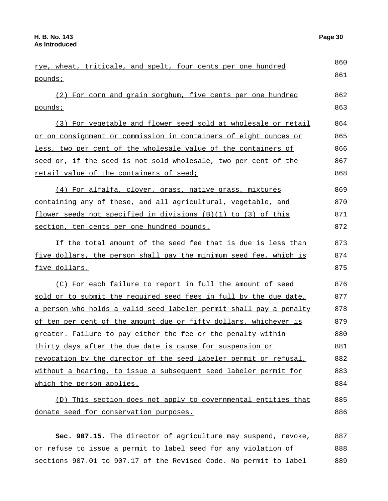| rye, wheat, triticale, and spelt, four cents per one hundred       | 860 |
|--------------------------------------------------------------------|-----|
| pounds;                                                            | 861 |
| (2) For corn and grain sorghum, five cents per one hundred         | 862 |
| pounds;                                                            | 863 |
| (3) For vegetable and flower seed sold at wholesale or retail      | 864 |
| or on consignment or commission in containers of eight ounces or   | 865 |
| less, two per cent of the wholesale value of the containers of     | 866 |
| seed or, if the seed is not sold wholesale, two per cent of the    | 867 |
| <u>retail value of the containers of seed;</u>                     | 868 |
| (4) For alfalfa, clover, grass, native grass, mixtures             | 869 |
| containing any of these, and all agricultural, vegetable, and      | 870 |
| flower seeds not specified in divisions $(B)(1)$ to $(3)$ of this  | 871 |
| section, ten cents per one hundred pounds.                         | 872 |
| If the total amount of the seed fee that is due is less than       | 873 |
| five dollars, the person shall pay the minimum seed fee, which is  | 874 |
| five dollars.                                                      | 875 |
| (C) For each failure to report in full the amount of seed          | 876 |
| sold or to submit the required seed fees in full by the due date,  | 877 |
| a person who holds a valid seed labeler permit shall pay a penalty | 878 |
| of ten per cent of the amount due or fifty dollars, whichever is   | 879 |
| greater. Failure to pay either the fee or the penalty within       | 880 |
| thirty days after the due date is cause for suspension or          | 881 |
| revocation by the director of the seed labeler permit or refusal,  | 882 |
| without a hearing, to issue a subsequent seed labeler permit for   | 883 |
| which the person applies.                                          | 884 |
| (D) This section does not apply to governmental entities that      | 885 |
| donate seed for conservation purposes.                             | 886 |

**Sec. 907.15.** The director of agriculture may suspend, revoke, or refuse to issue a permit to label seed for any violation of sections 907.01 to 907.17 of the Revised Code. No permit to label 887 888 889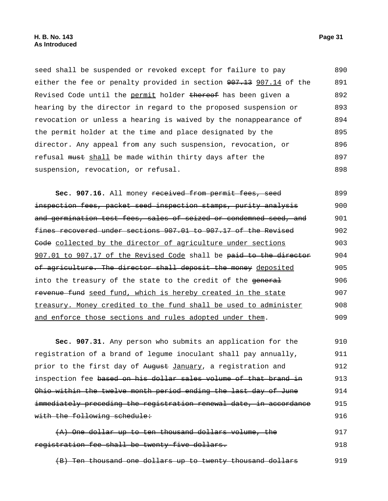seed shall be suspended or revoked except for failure to pay either the fee or penalty provided in section  $907.13$  907.14 of the Revised Code until the permit holder thereof has been given a hearing by the director in regard to the proposed suspension or revocation or unless a hearing is waived by the nonappearance of the permit holder at the time and place designated by the director. Any appeal from any such suspension, revocation, or refusal must shall be made within thirty days after the suspension, revocation, or refusal. 890 891 892 893 894 895 896 897 898

Sec. 907.16. All money received from permit fees, seed inspection fees, packet seed inspection stamps, purity analysis and germination test fees, sales of seized or condemned seed, and fines recovered under sections 907.01 to 907.17 of the Revised Code collected by the director of agriculture under sections 907.01 to 907.17 of the Revised Code shall be paid to the director of agriculture. The director shall deposit the money deposited into the treasury of the state to the credit of the general revenue fund seed fund, which is hereby created in the state treasury. Money credited to the fund shall be used to administer and enforce those sections and rules adopted under them. 899 900 901 902 903 904 905 906 907 908 909

**Sec. 907.31.** Any person who submits an application for the registration of a brand of legume inoculant shall pay annually, prior to the first day of August January, a registration and inspection fee based on his dollar sales volume of that brand in Ohio within the twelve month period ending the last day of June immediately preceding the registration renewal date, in accordance with the following schedule: 910 911 912 913 914 915 916

|  | $(A)$ One dollar up to ten thousand dollars volume, the | 917 |
|--|---------------------------------------------------------|-----|
|  | registration fee shall be twenty-five dollars.          | 918 |

(B) Ten thousand one dollars up to twenty thousand dollars 919